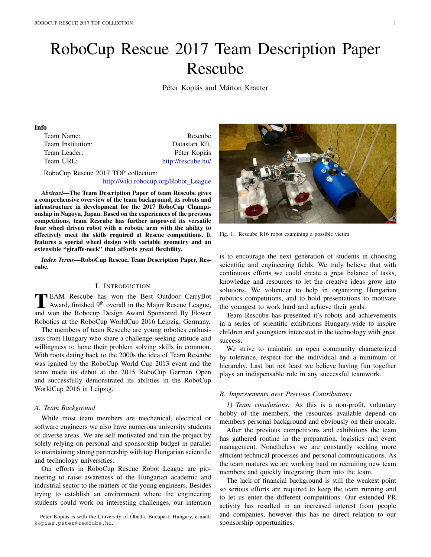# RoboCup Rescue 2017 Team Description Paper Rescube

Péter Kopiás and Márton Krauter

#### Info

| Team Name:        | Rescube            |
|-------------------|--------------------|
| Team Institution: | Datastart Kft.     |
| Team Leader:      | Péter Kopiás       |
| Team URL:         | http://rescube.hu/ |
|                   |                    |

RoboCup Rescue 2017 TDP collection: http://wiki.robocup.org/Robot League

*Abstract*—The Team Description Paper of team Rescube gives a comprehensive overview of the team background, its robots and infrastructure in development for the 2017 RoboCup Championship in Nagoya, Japan. Based on the experiences of the previous competitions, team Rescube has further improved its versatile four wheel driven robot with a robotic arm with the ability to effectively meet the skills required at Rescue competitions. It features a special wheel design with variable geometry and an extensible "giraffe-neck" that affords great flexibility.

*Index Terms*—RoboCup Rescue, Team Description Paper, Rescube.

## I. INTRODUCTION

TEAM Rescube has won the Best Outdoor CarryBot<br>Award, finished 9<sup>th</sup> overall in the Major Rescue League,<br>and wan the Boboaun Design Award Sponsored By Flower and won the Robocup Design Award Sponsored By Flower Robotics at the RoboCup WorldCup 2016 Leipzig, Germany.

The members of team Rescube are young robotics enthusiasts from Hungary who share a challenge seeking attitude and willingness to hone their problem solving skills in common. With roots dating back to the 2000s the idea of Team Rescube was ignited by the RoboCup World Cup 2013 event and the team made its debut at the 2015 RoboCup German Open and successfully demonstrated its abilities in the RoboCup WorldCup 2016 in Leipzig.

#### *A. Team Background*

While most team members are mechanical, electrical or software engineers we also have numerous university students of diverse areas. We are self motivated and run the project by solely relying on personal and sponsorship budget in parallel to maintaining strong partnership with top Hungarian scientific and technology universities.

Our efforts in RoboCup Rescue Robot League are pioneering to raise awareness of the Hungarian academic and industrial sector to the matters of the young engineers. Besides trying to establish an environment where the engineering students could work on interesting challenges, our intention

Péter Kopiás is with the University of Óbuda, Budapest, Hungary, e-mail: kopias.peter@rescube.hu.



Fig. 1. Rescube R16 robot examining a possible victim

is to encourage the next generation of students in choosing scientific and engineering fields. We truly believe that with continuous efforts we could create a great balance of tasks, knowledge and resources to let the creative ideas grow into solutions. We volunteer to help in organizing Hungarian robotics competitions, and to hold presentations to motivate the youngest to work hard and achieve their goals.

Team Rescube has presented it's robots and achievements in a series of scientific exhibitions Hungary-wide to inspire children and youngsters interested in the technology with great success.

We strive to maintain an open community characterized by tolerance, respect for the individual and a minimum of hierarchy. Last but not least we believe having fun together plays an indispensable role in any successful teamwork.

# *B. Improvements over Previous Contributions*

*1) Team conclusions:* As this is a non-profit, voluntary hobby of the members, the resources available depend on members personal background and obviously on their morale.

After the previous competitions and exhibitions the team has gathered routine in the preparation, logistics and event management. Nonetheless we are constantly seeking more efficient technical processes and personal communications. As the team matures we are working hard on recruiting new team members and quickly integrating them into the team.

The lack of financial background is still the weakest point so serious efforts are required to keep the team running and to let us enter the different competitions. Our extended PR activity has resulted in an increased interest from people and companies, however this has no direct relation to our sponsorship opportunities.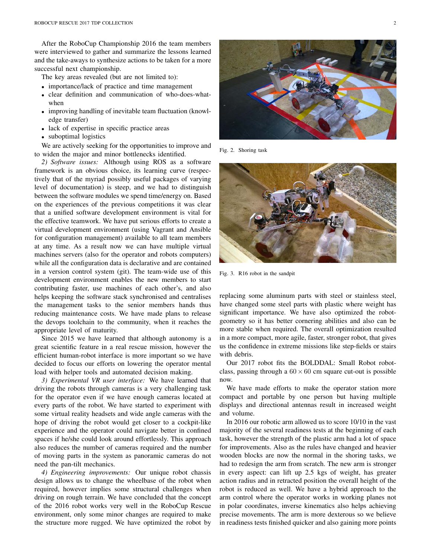After the RoboCup Championship 2016 the team members were interviewed to gather and summarize the lessons learned and the take-aways to synthesize actions to be taken for a more successful next championship.

The key areas revealed (but are not limited to):

- importance/lack of practice and time management
- *•* clear definition and communication of who-does-whatwhen
- improving handling of inevitable team fluctuation (knowledge transfer)
- lack of expertise in specific practice areas
- suboptimal logistics

We are actively seeking for the opportunities to improve and to widen the major and minor bottlenecks identified.

*2) Software issues:* Although using ROS as a software framework is an obvious choice, its learning curve (respectively that of the myriad possibly useful packages of varying level of documentation) is steep, and we had to distinguish between the software modules we spend time/energy on. Based on the experiences of the previous competitions it was clear that a unified software development environment is vital for the effective teamwork. We have put serious efforts to create a virtual development environment (using Vagrant and Ansible for configuration management) available to all team members at any time. As a result now we can have multiple virtual machines servers (also for the operator and robots computers) while all the configuration data is declarative and are contained in a version control system (git). The team-wide use of this development environment enables the new members to start contributing faster, use machines of each other's, and also helps keeping the software stack synchronised and centralises the management tasks to the senior members hands thus reducing maintenance costs. We have made plans to release the devops toolchain to the community, when it reaches the appropriate level of maturity.

Since 2015 we have learned that although autonomy is a great scientific feature in a real rescue mission, however the efficient human-robot interface is more important so we have decided to focus our efforts on lowering the operator mental load with helper tools and automated decision making.

*3) Experimental VR user interface:* We have learned that driving the robots through cameras is a very challenging task for the operator even if we have enough cameras located at every parts of the robot. We have started to experiment with some virtual reality headsets and wide angle cameras with the hope of driving the robot would get closer to a cockpit-like experience and the operator could navigate better in confined spaces if he/she could look around effortlessly. This approach also reduces the number of cameras required and the number of moving parts in the system as panoramic cameras do not need the pan-tilt mechanics.

*4) Engineering improvements:* Our unique robot chassis design allows us to change the wheelbase of the robot when required, however implies some structural challenges when driving on rough terrain. We have concluded that the concept of the 2016 robot works very well in the RoboCup Rescue environment, only some minor changes are required to make the structure more rugged. We have optimized the robot by



Fig. 2. Shoring task



Fig. 3. R16 robot in the sandpit

replacing some aluminum parts with steel or stainless steel, have changed some steel parts with plastic where weight has significant importance. We have also optimized the robotgeometry so it has better cornering abilities and also can be more stable when required. The overall optimization resulted in a more compact, more agile, faster, stronger robot, that gives us the confidence in extreme missions like step-fields or stairs with debris.

Our 2017 robot fits the BOLDDAL: Small Robot robotclass, passing through a  $60 \times 60$  cm square cut-out is possible now.

We have made efforts to make the operator station more compact and portable by one person but having multiple displays and directional antennas result in increased weight and volume.

In 2016 our robotic arm allowed us to score 10/10 in the vast majority of the several readiness tests at the beginning of each task, however the strength of the plastic arm had a lot of space for improvements. Also as the rules have changed and heavier wooden blocks are now the normal in the shoring tasks, we had to redesign the arm from scratch. The new arm is stronger in every aspect: can lift up 2.5 kgs of weight, has greater action radius and in retracted position the overall height of the robot is reduced as well. We have a hybrid approach to the arm control where the operator works in working planes not in polar coordinates, inverse kinematics also helps achieving precise movements. The arm is more dexterous so we believe in readiness tests finished quicker and also gaining more points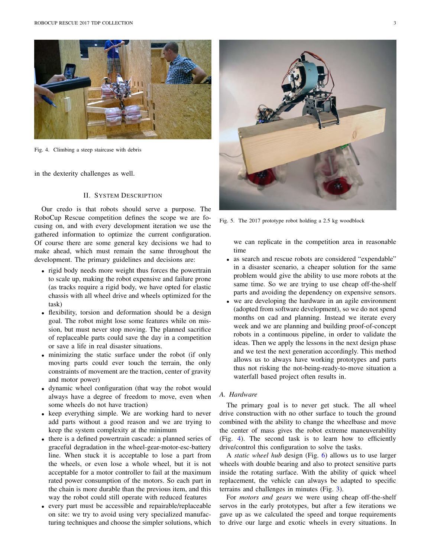

Fig. 4. Climbing a steep staircase with debris

in the dexterity challenges as well.

# II. SYSTEM DESCRIPTION

Our credo is that robots should serve a purpose. The RoboCup Rescue competition defines the scope we are focusing on, and with every development iteration we use the gathered information to optimize the current configuration. Of course there are some general key decisions we had to make ahead, which must remain the same throughout the development. The primary guidelines and decisions are:

- *•* rigid body needs more weight thus forces the powertrain to scale up, making the robot expensive and failure prone (as tracks require a rigid body, we have opted for elastic chassis with all wheel drive and wheels optimized for the task)
- *•* flexibility, torsion and deformation should be a design goal. The robot might lose some features while on mission, but must never stop moving. The planned sacrifice of replaceable parts could save the day in a competition or save a life in real disaster situations.
- *•* minimizing the static surface under the robot (if only moving parts could ever touch the terrain, the only constraints of movement are the traction, center of gravity and motor power)
- *•* dynamic wheel configuration (that way the robot would always have a degree of freedom to move, even when some wheels do not have traction)
- *•* keep everything simple. We are working hard to never add parts without a good reason and we are trying to keep the system complexity at the minimum
- *•* there is a defined powertrain cascade: a planned series of graceful degradation in the wheel-gear-motor-esc-battery line. When stuck it is acceptable to lose a part from the wheels, or even lose a whole wheel, but it is not acceptable for a motor controller to fail at the maximum rated power consumption of the motors. So each part in the chain is more durable than the previous item, and this way the robot could still operate with reduced features
- *•* every part must be accessible and repairable/replaceable on site: we try to avoid using very specialized manufacturing techniques and choose the simpler solutions, which



Fig. 5. The 2017 prototype robot holding a 2.5 kg woodblock

we can replicate in the competition area in reasonable time

- as search and rescue robots are considered "expendable" in a disaster scenario, a cheaper solution for the same problem would give the ability to use more robots at the same time. So we are trying to use cheap off-the-shelf parts and avoiding the dependency on expensive sensors.
- *•* we are developing the hardware in an agile environment (adopted from software development), so we do not spend months on cad and planning. Instead we iterate every week and we are planning and building proof-of-concept robots in a continuous pipeline, in order to validate the ideas. Then we apply the lessons in the next design phase and we test the next generation accordingly. This method allows us to always have working prototypes and parts thus not risking the not-being-ready-to-move situation a waterfall based project often results in.

#### *A. Hardware*

The primary goal is to never get stuck. The all wheel drive construction with no other surface to touch the ground combined with the ability to change the wheelbase and move the center of mass gives the robot extreme maneuverability (Fig. 4). The second task is to learn how to efficiently drive/control this configuration to solve the tasks.

A *static wheel hub* design (Fig. 6) allows us to use larger wheels with double bearing and also to protect sensitive parts inside the rotating surface. With the ability of quick wheel replacement, the vehicle can always be adapted to specific terrains and challenges in minutes (Fig. 3).

For *motors and gears* we were using cheap off-the-shelf servos in the early prototypes, but after a few iterations we gave up as we calculated the speed and torque requirements to drive our large and exotic wheels in every situations. In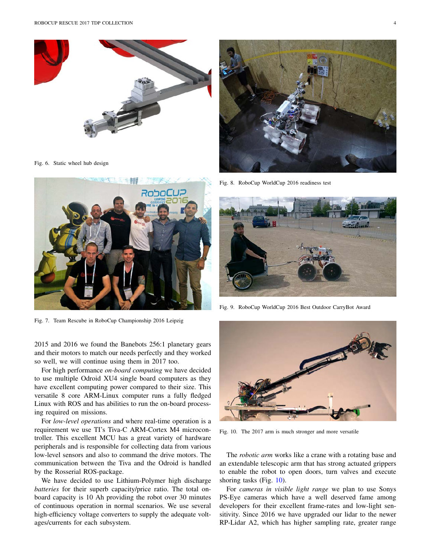

Fig. 6. Static wheel hub design



Fig. 7. Team Rescube in RoboCup Championship 2016 Leipzig

2015 and 2016 we found the Banebots 256:1 planetary gears and their motors to match our needs perfectly and they worked so well, we will continue using them in 2017 too.

For high performance *on-board computing* we have decided to use multiple Odroid XU4 single board computers as they have excellent computing power compared to their size. This versatile 8 core ARM-Linux computer runs a fully fledged Linux with ROS and has abilities to run the on-board processing required on missions.

For *low-level operations* and where real-time operation is a requirement we use TI's Tiva-C ARM-Cortex M4 microcontroller. This excellent MCU has a great variety of hardware peripherals and is responsible for collecting data from various low-level sensors and also to command the drive motors. The communication between the Tiva and the Odroid is handled by the Rosserial ROS-package.

We have decided to use Lithium-Polymer high discharge *batteries* for their superb capacity/price ratio. The total onboard capacity is 10 Ah providing the robot over 30 minutes of continuous operation in normal scenarios. We use several high-efficiency voltage converters to supply the adequate voltages/currents for each subsystem.



Fig. 8. RoboCup WorldCup 2016 readiness test



Fig. 9. RoboCup WorldCup 2016 Best Outdoor CarryBot Award



Fig. 10. The 2017 arm is much stronger and more versatile

The *robotic arm* works like a crane with a rotating base and an extendable telescopic arm that has strong actuated grippers to enable the robot to open doors, turn valves and execute shoring tasks (Fig. 10).

For *cameras in visible light range* we plan to use Sonys PS-Eye cameras which have a well deserved fame among developers for their excellent frame-rates and low-light sensitivity. Since 2016 we have upgraded our lidar to the newer RP-Lidar A2, which has higher sampling rate, greater range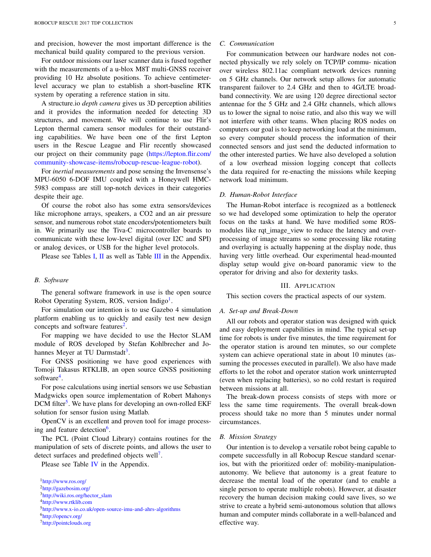and precision, however the most important difference is the mechanical build quality compared to the previous version.

For outdoor missions our laser scanner data is fused together with the measurements of a u-blox M8T multi-GNSS receiver providing 10 Hz absolute positions. To achieve centimeterlevel accuracy we plan to establish a short-baseline RTK system by operating a reference station in situ.

A structure.io *depth camera* gives us 3D perception abilities and it provides the information needed for detecting 3D structures, and movement. We will continue to use Flir's Lepton thermal camera sensor modules for their outstanding capabilities. We have been one of the first Lepton users in the Rescue League and Flir recently showcased our project on their community page (https://lepton.flir.com/ community-showcase-items/robocup-rescue-league-robot).

For *inertial measurements* and pose sensing the Invensense's MPU-6050 6-DOF IMU coupled with a Honeywell HMC-5983 compass are still top-notch devices in their categories despite their age.

Of course the robot also has some extra sensors/devices like microphone arrays, speakers, a CO2 and an air pressure sensor, and numerous robot state encoders/potentiometers built in. We primarily use the Tiva-C microcontroller boards to communicate with these low-level digital (over I2C and SPI) or analog devices, or USB for the higher level protocols.

Please see Tables I, II as well as Table III in the Appendix.

#### *B. Software*

The general software framework in use is the open source Robot Operating System, ROS, version Indigo<sup>1</sup>.

For simulation our intention is to use Gazebo 4 simulation platform enabling us to quickly and easily test new design concepts and software features<sup>2</sup>.

For mapping we have decided to use the Hector SLAM module of ROS developed by Stefan Kohlbrecher and Johannes Meyer at TU Darmstadt<sup>3</sup>.

For GNSS positioning we have good experiences with Tomoji Takasus RTKLIB, an open source GNSS positioning software<sup>4</sup>.

For pose calculations using inertial sensors we use Sebastian Madgwicks open source implementation of Robert Mahonys DCM filter<sup>5</sup>. We have plans for developing an own-rolled EKF solution for sensor fusion using Matlab.

OpenCV is an excellent and proven tool for image processing and feature detection<sup>6</sup>.

The PCL (Point Cloud Library) contains routines for the manipulation of sets of discrete points, and allows the user to detect surfaces and predefined objects well<sup>7</sup>.

Please see Table IV in the Appendix.

#### *C. Communication*

For communication between our hardware nodes not connected physically we rely solely on TCP/IP commu- nication over wireless 802.11ac compliant network devices running on 5 GHz channels. Our network setup allows for automatic transparent failover to 2.4 GHz and then to 4G/LTE broadband connectivity. We are using 120 degree directional sector antennae for the 5 GHz and 2.4 GHz channels, which allows us to lower the signal to noise ratio, and also this way we will not interfere with other teams. When placing ROS nodes on computers our goal is to keep networking load at the minimum, so every computer should process the information of their connected sensors and just send the deducted information to the other interested parties. We have also developed a solution of a low overhead mission logging concept that collects the data required for re-enacting the missions while keeping network load minimum.

#### *D. Human-Robot Interface*

The Human-Robot interface is recognized as a bottleneck so we had developed some optimization to help the operator focus on the tasks at hand. We have modified some ROSmodules like rqt image view to reduce the latency and overprocessing of image streams so some processing like rotating and overlaying is actually happening at the display node, thus having very little overhead. Our experimental head-mounted display setup would give on-board panoramic view to the operator for driving and also for dexterity tasks.

## III. APPLICATION

This section covers the practical aspects of our system.

#### *A. Set-up and Break-Down*

All our robots and operator station was designed with quick and easy deployment capabilities in mind. The typical set-up time for robots is under five minutes, the time requirement for the operator station is around ten minutes, so our complete system can achieve operational state in about 10 minutes (assuming the processes executed in parallel). We also have made efforts to let the robot and operator station work uninterrupted (even when replacing batteries), so no cold restart is required between missions at all.

The break-down process consists of steps with more or less the same time requirements. The overall break-down process should take no more than 5 minutes under normal circumstances.

# *B. Mission Strategy*

Our intention is to develop a versatile robot being capable to compete successfully in all Robocup Rescue standard scenarios, but with the prioritized order of: mobility-manipulationautonomy. We believe that autonomy is a great feature to decrease the mental load of the operator (and to enable a single person to operate multiple robots). However, at disaster recovery the human decision making could save lives, so we strive to create a hybrid semi-autonomous solution that allows human and computer minds collaborate in a well-balanced and effective way.

<sup>1</sup>http://www.ros.org/

<sup>2</sup>http://gazebosim.org/

<sup>3</sup>http://wiki.ros.org/hector\_slam

<sup>4</sup>http://www.rtklib.com

<sup>5</sup>http://www.x-io.co.uk/open-source-imu-and-ahrs-algorithms

<sup>6</sup>http://opencv.org/

<sup>7</sup>http://pointclouds.org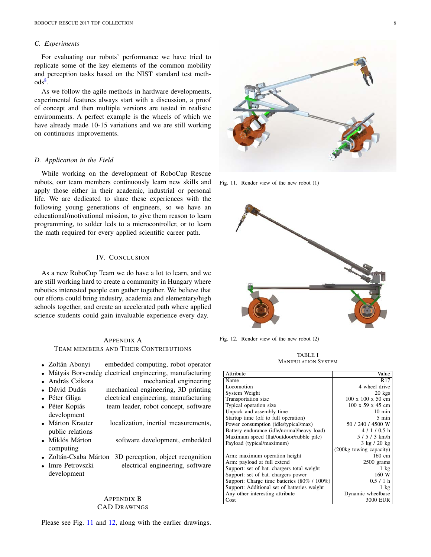## *C. Experiments*

For evaluating our robots' performance we have tried to replicate some of the key elements of the common mobility and perception tasks based on the NIST standard test meth- $\mathrm{ods}^8$ .

As we follow the agile methods in hardware developments, experimental features always start with a discussion, a proof of concept and then multiple versions are tested in realistic environments. A perfect example is the wheels of which we have already made 10-15 variations and we are still working on continuous improvements.

# *D. Application in the Field*

While working on the development of RoboCup Rescue robots, our team members continuously learn new skills and apply those either in their academic, industrial or personal life. We are dedicated to share these experiences with the following young generations of engineers, so we have an educational/motivational mission, to give them reason to learn programming, to solder leds to a microcontroller, or to learn the math required for every applied scientific career path.

# IV. CONCLUSION

As a new RoboCup Team we do have a lot to learn, and we are still working hard to create a community in Hungary where robotics interested people can gather together. We believe that our efforts could bring industry, academia and elementary/high schools together, and create an accelerated path where applied science students could gain invaluable experience every day.

# APPENDIX A TEAM MEMBERS AND THEIR CONTRIBUTIONS

- Zoltán Abonyi embedded computing, robot operator
- Mátyás Borvendég electrical engineering, manufacturing **\*** András Czikora
- András Czikora **mechanical engineering**<br>• Dávid Dudás mechanical engineering, 3D printing
- Dávid Dudás mechanical engineering, 3D printing<br>• Péter Gliga electrical engineering, manufacturing
- $e^{\frac{1}{2}}$  electrical engineering, manufacturing
- Péter Kopiás team leader, robot concept, software development
- Márton Krauter localization, inertial measurements, public relations
- Miklós Márton software development, embedded computing
- Zoltán-Csaba Márton 3D perception, object recognition<br>• Imre Petrovszki electrical engineering, software
- electrical engineering, software development

# APPENDIX B CAD DRAWINGS

Please see Fig. 11 and 12, along with the earlier drawings.



Fig. 11. Render view of the new robot (1)



Fig. 12. Render view of the new robot (2)

TABLE I MANIPULATION SYSTEM

| Attribute                                   | Value                         |
|---------------------------------------------|-------------------------------|
| Name                                        | R17                           |
| Locomotion                                  | 4 wheel drive                 |
| System Weight                               | $20 \text{ kgs}$              |
| Transportation size                         | $100 \times 100 \times 50$ cm |
| Typical operation size.                     | $100 \times 59 \times 45$ cm  |
| Unpack and assembly time                    | $10 \text{ min}$              |
| Startup time (off to full operation)        | 5 min                         |
| Power consumption (idle/typical/max)        | 50 / 240 / 4500 W             |
| Battery endurance (idle/normal/heavy load)  | 4/1/0.5 h                     |
| Maximum speed (flat/outdoor/rubble pile)    | $5/5/3$ km/h                  |
| Payload (typical/maximum)                   | $3 \text{ kg}$ / 20 kg        |
|                                             | (200kg towing capacity)       |
| Arm: maximum operation height               | 160 cm                        |
| Arm: payload at full extend                 | $2500$ grams                  |
| Support: set of bat. chargers total weight  | $1 \text{ kg}$                |
| Support: set of bat. chargers power         | 160 W                         |
| Support: Charge time batteries (80% / 100%) | 0.5/1 h                       |
| Support: Additional set of batteries weight | $1 \text{ kg}$                |
| Any other interesting attribute             | Dynamic wheelbase             |
| Cost                                        | 3000 EUR                      |